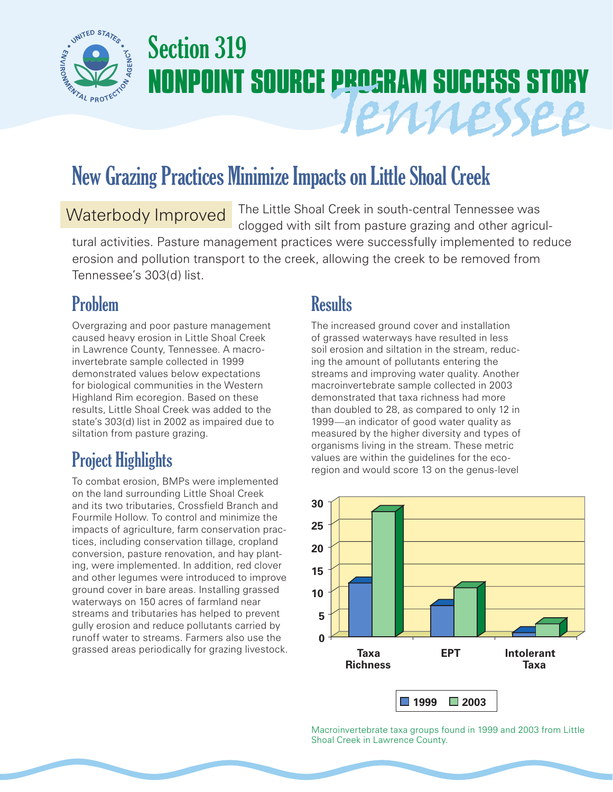

# Section 319 **NONPOINT SOURCE PROGRAM SUCCESS STORY** Tennessee

## New Grazing Practices Minimize Impacts on Little Shoal Creek

#### Waterbody Improved

The Little Shoal Creek in south-central Tennessee was clogged with silt from pasture grazing and other agricul-

tural activities. Pasture management practices were successfully implemented to reduce erosion and pollution transport to the creek, allowing the creek to be removed from Tennessee's 303(d) list.

## Problem

Overgrazing and poor pasture management caused heavy erosion in Little Shoal Creek in Lawrence County, Tennessee. A macroinvertebrate sample collected in 1999 demonstrated values below expectations for biological communities in the Western Highland Rim ecoregion. Based on these results, Little Shoal Creek was added to the state's 303(d) list in 2002 as impaired due to siltation from pasture grazing.

## Project Highlights

To combat erosion, BMPs were implemented on the land surrounding Little Shoal Creek and its two tributaries, Crossfield Branch and Fourmile Hollow. To control and minimize the impacts of agriculture, farm conservation practices, including conservation tillage, cropland conversion, pasture renovation, and hay planting, were implemented. In addition, red clover and other legumes were introduced to improve ground cover in bare areas. Installing grassed waterways on 150 acres of farmland near streams and tributaries has helped to prevent gully erosion and reduce pollutants carried by runoff water to streams. Farmers also use the grassed areas periodically for grazing livestock.

## **Results**

The increased ground cover and installation of grassed waterways have resulted in less soil erosion and siltation in the stream, reducing the amount of pollutants entering the streams and improving water quality. Another macroinvertebrate sample collected in 2003 demonstrated that taxa richness had more than doubled to 28, as compared to only 12 in 1999—an indicator of good water quality as measured by the higher diversity and types of organisms living in the stream. These metric values are within the guidelines for the ecoregion and would score 13 on the genus-level



Macroinvertebrate taxa groups found in 1999 and 2003 from Little Shoal Creek in Lawrence County.